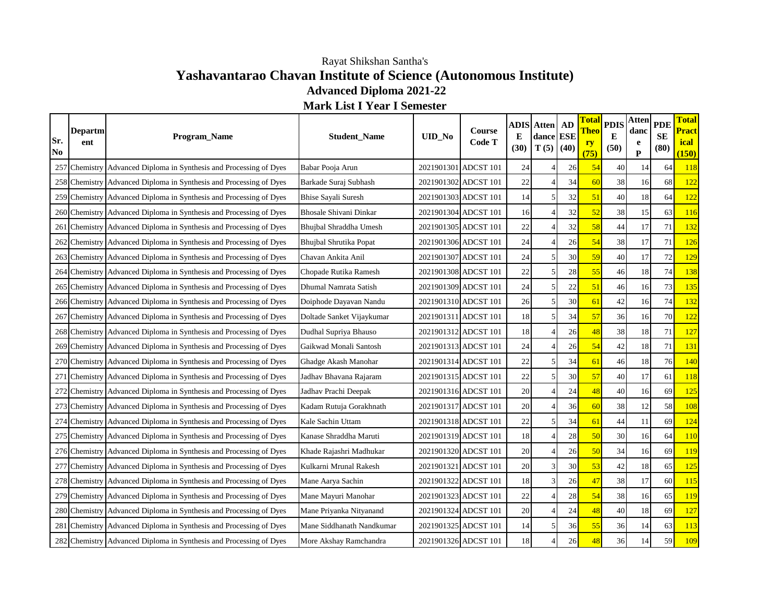## **Yashavantarao Chavan Institute of Science (Autonomous Institute) Advanced Diploma 2021-22 Mark List I Year I Semester** Rayat Shikshan Santha's

| Sr.<br>No | <b>Departm</b><br>ent | Program_Name                                                       | <b>Student Name</b>           | <b>UID_No</b>        | Course<br>Code T | E<br>(30) | <b>ADIS</b> Atten<br>dance ESE<br>T(5) | AD<br>(40) | Total<br>Theo<br><b>ry</b><br>(75) | <b>PDIS</b><br>E<br>(50) | <b>Atten</b><br>danc<br>e<br>P | <b>PDE</b><br><b>SE</b><br>(80) | <b>Total</b><br>Pract<br>ical<br>(150) |
|-----------|-----------------------|--------------------------------------------------------------------|-------------------------------|----------------------|------------------|-----------|----------------------------------------|------------|------------------------------------|--------------------------|--------------------------------|---------------------------------|----------------------------------------|
|           |                       | 257 Chemistry Advanced Diploma in Synthesis and Processing of Dyes | Babar Pooja Arun              | 2021901301 ADCST 101 |                  | 24        |                                        | 26         | 54                                 | 40                       | 14                             | 64                              | 118                                    |
|           |                       | 258 Chemistry Advanced Diploma in Synthesis and Processing of Dyes | Barkade Suraj Subhash         | 2021901302 ADCST 101 |                  | 22        |                                        | 34         | 60                                 | 38                       | 16                             | 68                              | 122                                    |
|           |                       | 259 Chemistry Advanced Diploma in Synthesis and Processing of Dyes | <b>Bhise Sayali Suresh</b>    | 2021901303 ADCST 101 |                  | 14        |                                        | 32         | 51                                 | 40                       | 18                             | 64                              | 122                                    |
|           |                       | 260 Chemistry Advanced Diploma in Synthesis and Processing of Dyes | <b>Bhosale Shivani Dinkar</b> | 2021901304 ADCST 101 |                  | 16        |                                        | 32         | 52                                 | 38                       | 15                             | 63                              | 116                                    |
|           |                       | 261 Chemistry Advanced Diploma in Synthesis and Processing of Dyes | Bhujbal Shraddha Umesh        | 2021901305 ADCST 101 |                  | 22        |                                        | 32         | 58                                 | 44                       | 17                             | 71                              | 132                                    |
|           |                       | 262 Chemistry Advanced Diploma in Synthesis and Processing of Dyes | Bhujbal Shrutika Popat        | 2021901306 ADCST 101 |                  | 24        |                                        | 26         | 54                                 | 38                       | 17                             | 71                              | 126                                    |
|           |                       | 263 Chemistry Advanced Diploma in Synthesis and Processing of Dyes | Chavan Ankita Anil            | 2021901307 ADCST 101 |                  | 24        |                                        | 30         | 59                                 | 40                       | 17                             | 72                              | 129                                    |
|           |                       | 264 Chemistry Advanced Diploma in Synthesis and Processing of Dyes | Chopade Rutika Ramesh         | 2021901308 ADCST 101 |                  | 22        |                                        | 28         | 55                                 | 46                       | 18                             | 74                              | 138                                    |
|           |                       | 265 Chemistry Advanced Diploma in Synthesis and Processing of Dyes | Dhumal Namrata Satish         | 2021901309 ADCST 101 |                  | 24        |                                        | $22\,$     | 51                                 | 46                       | 16                             | 73                              | 135                                    |
|           |                       | 266 Chemistry Advanced Diploma in Synthesis and Processing of Dyes | Doiphode Dayavan Nandu        | 2021901310 ADCST 101 |                  | 26        |                                        | 30         | 61                                 | 42                       | 16                             | 74                              | 132                                    |
|           |                       | 267 Chemistry Advanced Diploma in Synthesis and Processing of Dyes | Doltade Sanket Vijaykumar     | 2021901311 ADCST 101 |                  | 18        |                                        | 34         | 57                                 | 36                       | 16                             | 70                              | 122                                    |
|           |                       | 268 Chemistry Advanced Diploma in Synthesis and Processing of Dyes | Dudhal Supriya Bhauso         | 2021901312 ADCST 101 |                  | 18        |                                        | 26         | 48                                 | 38                       | 18                             | 71                              | 127                                    |
|           |                       | 269 Chemistry Advanced Diploma in Synthesis and Processing of Dyes | Gaikwad Monali Santosh        | 2021901313 ADCST 101 |                  | 24        |                                        | 26         | 54                                 | 42                       | 18                             | 71                              | 131                                    |
|           |                       | 270 Chemistry Advanced Diploma in Synthesis and Processing of Dyes | Ghadge Akash Manohar          | 2021901314 ADCST 101 |                  | 22        |                                        | 34         | 61                                 | 46                       | 18                             | 76                              | 140                                    |
| 271       |                       | Chemistry Advanced Diploma in Synthesis and Processing of Dyes     | Jadhav Bhavana Rajaram        | 2021901315 ADCST 101 |                  | 22        |                                        | 30         | 57                                 | 40                       | 17                             | 61                              | 118                                    |
|           |                       | 272 Chemistry Advanced Diploma in Synthesis and Processing of Dyes | Jadhav Prachi Deepak          | 2021901316 ADCST 101 |                  | 20        |                                        | 24         | 48                                 | 40                       | 16                             | 69                              | 125                                    |
|           |                       | 273 Chemistry Advanced Diploma in Synthesis and Processing of Dyes | Kadam Rutuja Gorakhnath       | 2021901317 ADCST 101 |                  | 20        |                                        | 36         | 60                                 | 38                       | 12                             | 58                              | 108                                    |
|           |                       | 274 Chemistry Advanced Diploma in Synthesis and Processing of Dyes | Kale Sachin Uttam             | 2021901318 ADCST 101 |                  | $22\,$    |                                        | 34         | 61                                 | 44                       | 11                             | 69                              | 124                                    |
|           |                       | 275 Chemistry Advanced Diploma in Synthesis and Processing of Dyes | Kanase Shraddha Maruti        | 2021901319 ADCST 101 |                  | 18        |                                        | 28         | 50                                 | 30                       | 16                             | 64                              | 110                                    |
|           |                       | 276 Chemistry Advanced Diploma in Synthesis and Processing of Dyes | Khade Rajashri Madhukar       | 2021901320 ADCST 101 |                  | 20        |                                        | 26         | 50                                 | 34                       | 16                             | 69                              | 119                                    |
|           |                       | 277 Chemistry Advanced Diploma in Synthesis and Processing of Dyes | Kulkarni Mrunal Rakesh        | 2021901321 ADCST 101 |                  | 20        |                                        | 30         | 53                                 | 42                       | 18                             | 65                              | 125                                    |
|           |                       | 278 Chemistry Advanced Diploma in Synthesis and Processing of Dyes | Mane Aarya Sachin             | 2021901322 ADCST 101 |                  | 18        |                                        | 26         | 47                                 | 38                       | 17                             | 60                              | 115                                    |
|           |                       | 279 Chemistry Advanced Diploma in Synthesis and Processing of Dyes | Mane Mayuri Manohar           | 2021901323 ADCST 101 |                  | 22        |                                        | 28         | 54                                 | 38                       | 16                             | 65                              | 119                                    |
|           |                       | 280 Chemistry Advanced Diploma in Synthesis and Processing of Dyes | Mane Priyanka Nityanand       | 2021901324 ADCST 101 |                  | 20        |                                        | 24         | 48                                 | 40                       | 18                             | 69                              | 127                                    |
|           |                       | 281 Chemistry Advanced Diploma in Synthesis and Processing of Dyes | Mane Siddhanath Nandkumar     | 2021901325 ADCST 101 |                  | 14        |                                        | 36         | 55                                 | 36                       | 14                             | 63                              | 113                                    |
|           |                       | 282 Chemistry Advanced Diploma in Synthesis and Processing of Dyes | More Akshay Ramchandra        | 2021901326 ADCST 101 |                  | 18        |                                        | $26\,$     | 48                                 | 36                       | 14                             | 59                              | 109                                    |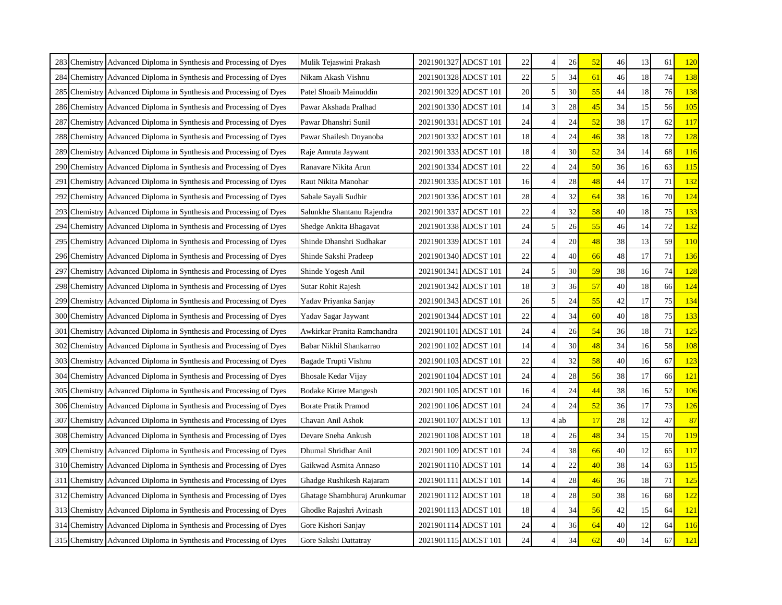| 283 | Chemistry Advanced Diploma in Synthesis and Processing of Dyes     | Mulik Tejaswini Prakash      |                      | 2021901327 ADCST 101 | 22 |                | 26   | 52 | 46 | 13 | 61 | <b>120</b> |
|-----|--------------------------------------------------------------------|------------------------------|----------------------|----------------------|----|----------------|------|----|----|----|----|------------|
|     | 284 Chemistry Advanced Diploma in Synthesis and Processing of Dyes | Nikam Akash Vishnu           |                      | 2021901328 ADCST 101 | 22 | $\mathfrak{H}$ | 34   | 61 | 46 | 18 | 74 | 138        |
| 285 | Chemistry Advanced Diploma in Synthesis and Processing of Dyes     | Patel Shoaib Mainuddin       |                      | 2021901329 ADCST 101 | 20 | 5.             | 30   | 55 | 44 | 18 | 76 | 138        |
| 286 | Chemistry Advanced Diploma in Synthesis and Processing of Dyes     | Pawar Akshada Pralhad        |                      | 2021901330 ADCST 101 | 14 |                | 28   | 45 | 34 | 15 | 56 | <b>105</b> |
| 287 | Chemistry Advanced Diploma in Synthesis and Processing of Dyes     | Pawar Dhanshri Sunil         | 2021901331 ADCST 101 |                      | 24 |                | 24   | 52 | 38 | 17 | 62 | 117        |
| 288 | Chemistry Advanced Diploma in Synthesis and Processing of Dyes     | Pawar Shailesh Dnyanoba      |                      | 2021901332 ADCST 101 | 18 |                | 24   | 46 | 38 | 18 | 72 | 128        |
| 289 | Chemistry Advanced Diploma in Synthesis and Processing of Dyes     | Raje Amruta Jaywant          |                      | 2021901333 ADCST 101 | 18 |                | 30   | 52 | 34 | 14 | 68 | 116        |
| 290 | Chemistry Advanced Diploma in Synthesis and Processing of Dyes     | Ranavare Nikita Arun         |                      | 2021901334 ADCST 101 | 22 |                | 24   | 50 | 36 | 16 | 63 | <b>115</b> |
|     | 291 Chemistry Advanced Diploma in Synthesis and Processing of Dyes | Raut Nikita Manohar          |                      | 2021901335 ADCST 101 | 16 |                | 28   | 48 | 44 | 17 | 71 | 132        |
|     | 292 Chemistry Advanced Diploma in Synthesis and Processing of Dyes | Sabale Sayali Sudhir         |                      | 2021901336 ADCST 101 | 28 |                | 32   | 64 | 38 | 16 | 70 | 124        |
| 293 | Chemistry Advanced Diploma in Synthesis and Processing of Dyes     | Salunkhe Shantanu Rajendra   |                      | 2021901337 ADCST 101 | 22 |                | 32   | 58 | 40 | 18 | 75 | 133        |
| 294 | Chemistry Advanced Diploma in Synthesis and Processing of Dyes     | Shedge Ankita Bhagavat       |                      | 2021901338 ADCST 101 | 24 | 5              | 26   | 55 | 46 | 14 | 72 | 132        |
| 295 | Chemistry Advanced Diploma in Synthesis and Processing of Dyes     | Shinde Dhanshri Sudhakar     |                      | 2021901339 ADCST 101 | 24 |                | 20   | 48 | 38 | 13 | 59 | 110        |
| 296 | Chemistry Advanced Diploma in Synthesis and Processing of Dyes     | Shinde Sakshi Pradeep        |                      | 2021901340 ADCST 101 | 22 |                | 40   | 66 | 48 | 17 | 71 | 136        |
| 297 | Chemistry Advanced Diploma in Synthesis and Processing of Dyes     | Shinde Yogesh Anil           |                      | 2021901341 ADCST 101 | 24 | 5              | 30   | 59 | 38 | 16 | 74 | 128        |
| 298 | Chemistry Advanced Diploma in Synthesis and Processing of Dyes     | Sutar Rohit Rajesh           |                      | 2021901342 ADCST 101 | 18 | 3              | 36   | 57 | 40 | 18 | 66 | 124        |
| 299 | Chemistry Advanced Diploma in Synthesis and Processing of Dyes     | Yadav Priyanka Sanjay        |                      | 2021901343 ADCST 101 | 26 | 5.             | 24   | 55 | 42 | 17 | 75 | 134        |
|     | 300 Chemistry Advanced Diploma in Synthesis and Processing of Dyes | Yadav Sagar Jaywant          |                      | 2021901344 ADCST 101 | 22 |                | 34   | 60 | 40 | 18 | 75 | 133        |
| 301 | Chemistry Advanced Diploma in Synthesis and Processing of Dyes     | Awkirkar Pranita Ramchandra  |                      | 2021901101 ADCST 101 | 24 |                | 26   | 54 | 36 | 18 | 71 | <b>125</b> |
| 302 | Chemistry Advanced Diploma in Synthesis and Processing of Dyes     | Babar Nikhil Shankarrao      |                      | 2021901102 ADCST 101 | 14 |                | 30   | 48 | 34 | 16 | 58 | 108        |
| 303 | Chemistry Advanced Diploma in Synthesis and Processing of Dyes     | Bagade Trupti Vishnu         | 2021901103 ADCST 101 |                      | 22 |                | 32   | 58 | 40 | 16 | 67 | 123        |
| 304 | Chemistry Advanced Diploma in Synthesis and Processing of Dyes     | Bhosale Kedar Vijay          |                      | 2021901104 ADCST 101 | 24 |                | 28   | 56 | 38 | 17 | 66 | 121        |
| 305 | Chemistry Advanced Diploma in Synthesis and Processing of Dyes     | Bodake Kirtee Mangesh        |                      | 2021901105 ADCST 101 | 16 |                | 24   | 44 | 38 | 16 | 52 | 106        |
| 306 | Chemistry Advanced Diploma in Synthesis and Processing of Dyes     | <b>Borate Pratik Pramod</b>  |                      | 2021901106 ADCST 101 | 24 |                | 24   | 52 | 36 | 17 | 73 | 126        |
| 307 | Chemistry Advanced Diploma in Synthesis and Processing of Dyes     | Chavan Anil Ashok            | 2021901107 ADCST 101 |                      | 13 |                | 4 ab | 17 | 28 | 12 | 47 | 87         |
|     | 308 Chemistry Advanced Diploma in Synthesis and Processing of Dyes | Devare Sneha Ankush          |                      | 2021901108 ADCST 101 | 18 |                | 26   | 48 | 34 | 15 | 70 | 119        |
| 309 | Chemistry Advanced Diploma in Synthesis and Processing of Dyes     | Dhumal Shridhar Anil         |                      | 2021901109 ADCST 101 | 24 |                | 38   | 66 | 40 | 12 | 65 | 117        |
|     | 310 Chemistry Advanced Diploma in Synthesis and Processing of Dyes | Gaikwad Asmita Annaso        |                      | 2021901110 ADCST 101 | 14 |                | 22   | 40 | 38 | 14 | 63 | 115        |
|     | 311 Chemistry Advanced Diploma in Synthesis and Processing of Dyes | Ghadge Rushikesh Rajaram     | 2021901111 ADCST 101 |                      | 14 |                | 28   | 46 | 36 | 18 | 71 | 125        |
|     | 312 Chemistry Advanced Diploma in Synthesis and Processing of Dyes | Ghatage Shambhuraj Arunkumar |                      | 2021901112 ADCST 101 | 18 |                | 28   | 50 | 38 | 16 | 68 | <u>122</u> |
| 313 | Chemistry Advanced Diploma in Synthesis and Processing of Dyes     | Ghodke Rajashri Avinash      | 2021901113 ADCST 101 |                      | 18 |                | 34   | 56 | 42 | 15 | 64 | 121        |
|     | 314 Chemistry Advanced Diploma in Synthesis and Processing of Dyes | Gore Kishori Sanjay          |                      | 2021901114 ADCST 101 | 24 |                | 36   | 64 | 40 | 12 | 64 | 116        |
|     | 315 Chemistry Advanced Diploma in Synthesis and Processing of Dyes | Gore Sakshi Dattatray        | 2021901115 ADCST 101 |                      | 24 |                | 34   | 62 | 40 | 14 | 67 | 121        |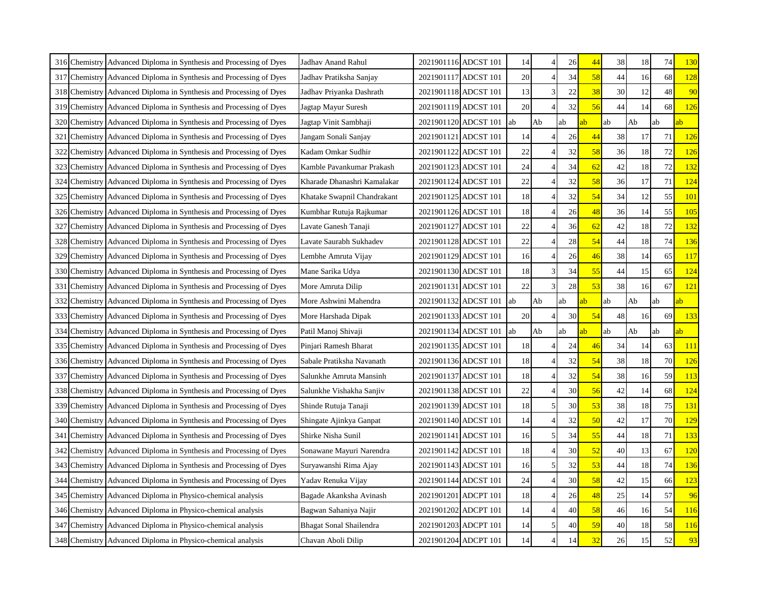|     | 316 Chemistry Advanced Diploma in Synthesis and Processing of Dyes | Jadhav Anand Rahul          | 2021901116 ADCST 101 |                      | 14  |    | 26 | 44 | 38 | 18 | 74 | <b>130</b> |
|-----|--------------------------------------------------------------------|-----------------------------|----------------------|----------------------|-----|----|----|----|----|----|----|------------|
|     | 317 Chemistry Advanced Diploma in Synthesis and Processing of Dyes | Jadhav Pratiksha Sanjay     |                      | 2021901117 ADCST 101 | 20  |    | 34 | 58 | 44 | 16 | 68 | 128        |
|     | 318 Chemistry Advanced Diploma in Synthesis and Processing of Dyes | Jadhav Priyanka Dashrath    |                      | 2021901118 ADCST 101 | 13  |    | 22 | 38 | 30 | 12 | 48 | 90         |
| 319 | Chemistry Advanced Diploma in Synthesis and Processing of Dyes     | Jagtap Mayur Suresh         |                      | 2021901119 ADCST 101 | 20  |    | 32 | 56 | 44 | 14 | 68 | 126        |
| 320 | Chemistry Advanced Diploma in Synthesis and Processing of Dyes     | Jagtap Vinit Sambhaji       |                      | 2021901120 ADCST 101 | ab  | Ab | ab | ıb | ab | Ab | ab | ab         |
| 321 | Chemistry Advanced Diploma in Synthesis and Processing of Dyes     | Jangam Sonali Sanjay        |                      | 2021901121 ADCST 101 | 14  |    | 26 | 44 | 38 | 17 | 71 | <b>126</b> |
| 322 | Chemistry Advanced Diploma in Synthesis and Processing of Dyes     | Kadam Omkar Sudhir          |                      | 2021901122 ADCST 101 | 22  |    | 32 | 58 | 36 | 18 | 72 | 126        |
| 323 | Chemistry Advanced Diploma in Synthesis and Processing of Dyes     | Kamble Pavankumar Prakash   |                      | 2021901123 ADCST 101 | 24  |    | 34 | 62 | 42 | 18 | 72 | 132        |
|     | 324 Chemistry Advanced Diploma in Synthesis and Processing of Dyes | Kharade Dhanashri Kamalakar | 2021901124 ADCST 101 |                      | 22  |    | 32 | 58 | 36 | 17 | 71 | 124        |
|     | 325 Chemistry Advanced Diploma in Synthesis and Processing of Dyes | Khatake Swapnil Chandrakant |                      | 2021901125 ADCST 101 | 18  |    | 32 | 54 | 34 | 12 | 55 | <b>101</b> |
| 326 | Chemistry Advanced Diploma in Synthesis and Processing of Dyes     | Kumbhar Rutuja Rajkumar     |                      | 2021901126 ADCST 101 | 18  |    | 26 | 48 | 36 | 14 | 55 | 105        |
| 327 | Chemistry Advanced Diploma in Synthesis and Processing of Dyes     | Lavate Ganesh Tanaji        |                      | 2021901127 ADCST 101 | 22  |    | 36 | 62 | 42 | 18 | 72 | 132        |
| 328 | Chemistry Advanced Diploma in Synthesis and Processing of Dyes     | Lavate Saurabh Sukhadev     |                      | 2021901128 ADCST 101 | 22  |    | 28 | 54 | 44 | 18 | 74 | 136        |
| 329 | Chemistry Advanced Diploma in Synthesis and Processing of Dyes     | Lembhe Amruta Vijay         |                      | 2021901129 ADCST 101 | 16  |    | 26 | 46 | 38 | 14 | 65 | 117        |
| 330 | Chemistry Advanced Diploma in Synthesis and Processing of Dyes     | Mane Sarika Udya            |                      | 2021901130 ADCST 101 | 18  |    | 34 | 55 | 44 | 15 | 65 | 124        |
| 331 | Chemistry Advanced Diploma in Synthesis and Processing of Dyes     | More Amruta Dilip           |                      | 2021901131 ADCST 101 | 22  | 3  | 28 | 53 | 38 | 16 | 67 | 121        |
| 332 | Chemistry Advanced Diploma in Synthesis and Processing of Dyes     | More Ashwini Mahendra       |                      | 2021901132 ADCST 101 | lab | Ab | ab | ıb | ab | Ab | ab | ab         |
|     | 333 Chemistry Advanced Diploma in Synthesis and Processing of Dyes | More Harshada Dipak         |                      | 2021901133 ADCST 101 | 20  |    | 30 | 54 | 48 | 16 | 69 | 133        |
| 334 | Chemistry Advanced Diploma in Synthesis and Processing of Dyes     | Patil Manoj Shivaji         |                      | 2021901134 ADCST 101 | lab | Ab | ab | ıb | ab | Ab | ab | ab         |
| 335 | Chemistry Advanced Diploma in Synthesis and Processing of Dyes     | Pinjari Ramesh Bharat       |                      | 2021901135 ADCST 101 | 18  |    | 24 | 46 | 34 | 14 | 63 | <b>111</b> |
|     | 336 Chemistry Advanced Diploma in Synthesis and Processing of Dyes | Sabale Pratiksha Navanath   | 2021901136 ADCST 101 |                      | 18  |    | 32 | 54 | 38 | 18 | 70 | <b>126</b> |
|     | 337 Chemistry Advanced Diploma in Synthesis and Processing of Dyes | Salunkhe Amruta Mansinh     |                      | 2021901137 ADCST 101 | 18  |    | 32 | 54 | 38 | 16 | 59 | 113        |
| 338 | Chemistry Advanced Diploma in Synthesis and Processing of Dyes     | Salunkhe Vishakha Sanjiv    |                      | 2021901138 ADCST 101 | 22  |    | 30 | 56 | 42 | 14 | 68 | 124        |
| 339 | Chemistry Advanced Diploma in Synthesis and Processing of Dyes     | Shinde Rutuja Tanaji        |                      | 2021901139 ADCST 101 | 18  |    | 30 | 53 | 38 | 18 | 75 | 131        |
|     | 340 Chemistry Advanced Diploma in Synthesis and Processing of Dyes | Shingate Ajinkya Ganpat     | 2021901140 ADCST 101 |                      | 14  |    | 32 | 50 | 42 | 17 | 70 | 129        |
| 341 | Chemistry Advanced Diploma in Synthesis and Processing of Dyes     | Shirke Nisha Sunil          |                      | 2021901141 ADCST 101 | 16  | 5  | 34 | 55 | 44 | 18 | 71 | 133        |
| 342 | Chemistry Advanced Diploma in Synthesis and Processing of Dyes     | Sonawane Mayuri Narendra    |                      | 2021901142 ADCST 101 | 18  |    | 30 | 52 | 40 | 13 | 67 | 120        |
| 343 | Chemistry Advanced Diploma in Synthesis and Processing of Dyes     | Suryawanshi Rima Ajay       |                      | 2021901143 ADCST 101 | 16  |    | 32 | 53 | 44 | 18 | 74 | 136        |
|     | 344 Chemistry Advanced Diploma in Synthesis and Processing of Dyes | Yadav Renuka Vijay          |                      | 2021901144 ADCST 101 | 24  |    | 30 | 58 | 42 | 15 | 66 | 123        |
|     | 345 Chemistry Advanced Diploma in Physico-chemical analysis        | Bagade Akanksha Avinash     |                      | 2021901201 ADCPT 101 | 18  |    | 26 | 48 | 25 | 14 | 57 | 96         |
|     |                                                                    |                             |                      |                      |     |    |    |    |    |    |    |            |
|     | 346 Chemistry Advanced Diploma in Physico-chemical analysis        | Bagwan Sahaniya Najir       |                      | 2021901202 ADCPT 101 | 14  |    | 40 | 58 | 46 | 16 | 54 | 116        |
| 347 | Chemistry Advanced Diploma in Physico-chemical analysis            | Bhagat Sonal Shailendra     |                      | 2021901203 ADCPT 101 | 14  | 51 | 40 | 59 | 40 | 18 | 58 | <b>116</b> |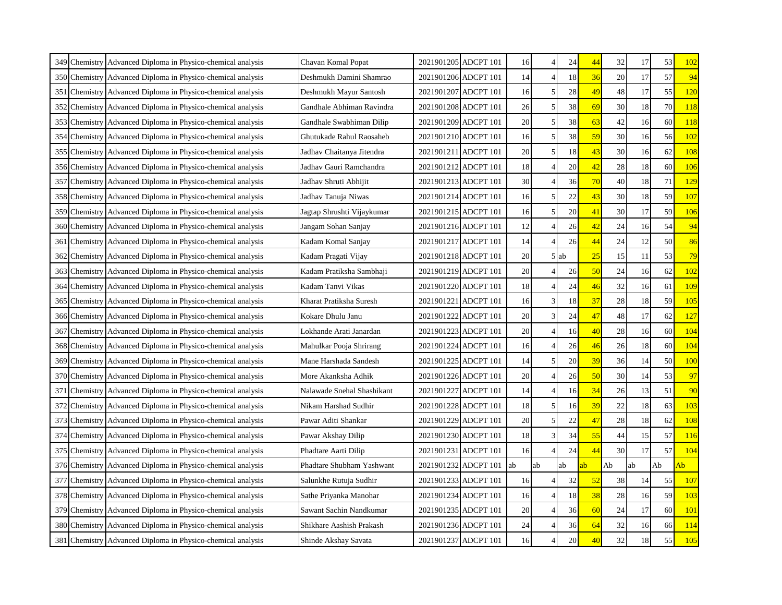| 349 Chemistry Advanced Diploma in Physico-chemical analysis | Chavan Komal Popat         |                      | 2021901205 ADCPT 101 | 16 |                          | 24 | 44 | 32 | 17 | 53 |            |
|-------------------------------------------------------------|----------------------------|----------------------|----------------------|----|--------------------------|----|----|----|----|----|------------|
| 350 Chemistry Advanced Diploma in Physico-chemical analysis | Deshmukh Damini Shamrao    | 2021901206 ADCPT 101 |                      | 14 | $\overline{4}$           | 18 | 36 | 20 | 17 | 57 | 94         |
| 351 Chemistry Advanced Diploma in Physico-chemical analysis | Deshmukh Mayur Santosh     |                      | 2021901207 ADCPT 101 | 16 | 5                        | 28 | 49 | 48 | 17 | 55 | 120        |
| 352 Chemistry Advanced Diploma in Physico-chemical analysis | Gandhale Abhiman Ravindra  | 2021901208 ADCPT 101 |                      | 26 | 5                        | 38 | 69 | 30 | 18 | 70 | 118        |
| 353 Chemistry Advanced Diploma in Physico-chemical analysis | Gandhale Swabhiman Dilip   | 2021901209 ADCPT 101 |                      | 20 | 5                        | 38 | 63 | 42 | 16 | 60 | <u>118</u> |
| 354 Chemistry Advanced Diploma in Physico-chemical analysis | Ghutukade Rahul Raosaheb   | 2021901210 ADCPT 101 |                      | 16 | 5                        | 38 | 59 | 30 | 16 | 56 | 102        |
| 355 Chemistry Advanced Diploma in Physico-chemical analysis | Jadhav Chaitanya Jitendra  | 2021901211 ADCPT 101 |                      | 20 | 5                        | 18 | 43 | 30 | 16 | 62 | 108        |
| 356 Chemistry Advanced Diploma in Physico-chemical analysis | Jadhav Gauri Ramchandra    | 2021901212 ADCPT 101 |                      | 18 | $\overline{4}$           | 20 | 42 | 28 | 18 | 60 | 106        |
| 357 Chemistry Advanced Diploma in Physico-chemical analysis | Jadhav Shruti Abhijit      | 2021901213 ADCPT 101 |                      | 30 | $\Delta$                 | 36 | 70 | 40 | 18 | 71 | 129        |
| 358 Chemistry Advanced Diploma in Physico-chemical analysis | Jadhav Tanuja Niwas        | 2021901214 ADCPT 101 |                      | 16 | 5                        | 22 | 43 | 30 | 18 | 59 | <b>107</b> |
| 359 Chemistry Advanced Diploma in Physico-chemical analysis | Jagtap Shrushti Vijaykumar | 2021901215 ADCPT 101 |                      | 16 | 5                        | 20 | 41 | 30 | 17 | 59 | 106        |
| 360 Chemistry Advanced Diploma in Physico-chemical analysis | Jangam Sohan Sanjay        | 2021901216 ADCPT 101 |                      | 12 | $\Delta$                 | 26 | 42 | 24 | 16 | 54 | 94         |
| 361 Chemistry Advanced Diploma in Physico-chemical analysis | Kadam Komal Sanjay         | 2021901217 ADCPT 101 |                      | 14 |                          | 26 | 44 | 24 | 12 | 50 | 86         |
| 362 Chemistry Advanced Diploma in Physico-chemical analysis | Kadam Pragati Vijay        | 2021901218 ADCPT 101 |                      | 20 | 5                        | ab | 25 | 15 | 11 | 53 | 79         |
| 363 Chemistry Advanced Diploma in Physico-chemical analysis | Kadam Pratiksha Sambhaji   | 2021901219 ADCPT 101 |                      | 20 | $\overline{4}$           | 26 | 50 | 24 | 16 | 62 | 102        |
| 364 Chemistry Advanced Diploma in Physico-chemical analysis | Kadam Tanvi Vikas          | 2021901220 ADCPT 101 |                      | 18 | $\overline{4}$           | 24 | 46 | 32 | 16 | 61 | 109        |
| 365 Chemistry Advanced Diploma in Physico-chemical analysis | Kharat Pratiksha Suresh    | 2021901221 ADCPT 101 |                      | 16 | 3                        | 18 | 37 | 28 | 18 | 59 | 105        |
| 366 Chemistry Advanced Diploma in Physico-chemical analysis | Kokare Dhulu Janu          |                      | 2021901222 ADCPT 101 | 20 | 3                        | 24 | 47 | 48 | 17 | 62 | 127        |
| 367 Chemistry Advanced Diploma in Physico-chemical analysis | Lokhande Arati Janardan    | 2021901223 ADCPT 101 |                      | 20 | $\overline{\mathcal{L}}$ | 16 | 40 | 28 | 16 | 60 | 104        |
| 368 Chemistry Advanced Diploma in Physico-chemical analysis | Mahulkar Pooja Shrirang    | 2021901224 ADCPT 101 |                      | 16 | $\overline{4}$           | 26 | 46 | 26 | 18 | 60 | 104        |
| 369 Chemistry Advanced Diploma in Physico-chemical analysis | Mane Harshada Sandesh      | 2021901225 ADCPT 101 |                      | 14 | 5                        | 20 | 39 | 36 | 14 | 50 | <b>100</b> |
| 370 Chemistry Advanced Diploma in Physico-chemical analysis | More Akanksha Adhik        |                      | 2021901226 ADCPT 101 | 20 |                          | 26 | 50 | 30 | 14 | 53 | 97         |
| 371 Chemistry Advanced Diploma in Physico-chemical analysis | Nalawade Snehal Shashikant | 2021901227           | ADCPT 101            | 14 | $\overline{4}$           | 16 | 34 | 26 | 13 | 51 | 90         |
| 372 Chemistry Advanced Diploma in Physico-chemical analysis | Nikam Harshad Sudhir       | 2021901228 ADCPT 101 |                      | 18 | 5                        | 16 | 39 | 22 | 18 | 63 | 103        |
| 373 Chemistry Advanced Diploma in Physico-chemical analysis | Pawar Aditi Shankar        | 2021901229 ADCPT 101 |                      | 20 | 5                        | 22 | 47 | 28 | 18 | 62 | 108        |
| 374 Chemistry Advanced Diploma in Physico-chemical analysis | Pawar Akshay Dilip         | 2021901230 ADCPT 101 |                      | 18 | 3                        | 34 | 55 | 44 | 15 | 57 | 116        |
| 375 Chemistry Advanced Diploma in Physico-chemical analysis | Phadtare Aarti Dilip       |                      | 2021901231 ADCPT 101 | 16 | $\Delta$                 | 24 | 44 | 30 | 17 | 57 | 104        |
| 376 Chemistry Advanced Diploma in Physico-chemical analysis | Phadtare Shubham Yashwant  | 2021901232 ADCPT 101 |                      | ab | ab                       | ab | ab | Ab | ab | Ab | Ab         |
| 377 Chemistry Advanced Diploma in Physico-chemical analysis | Salunkhe Rutuja Sudhir     | 2021901233 ADCPT 101 |                      | 16 | $\Delta$                 | 32 | 52 | 38 | 14 | 55 | 107        |
| 378 Chemistry Advanced Diploma in Physico-chemical analysis | Sathe Priyanka Manohar     | 2021901234 ADCPT 101 |                      | 16 | $\overline{4}$           | 18 | 38 | 28 | 16 | 59 | 103        |
| 379 Chemistry Advanced Diploma in Physico-chemical analysis | Sawant Sachin Nandkumar    | 2021901235 ADCPT 101 |                      | 20 |                          | 36 | 60 | 24 | 17 | 60 | 101        |
| 380 Chemistry Advanced Diploma in Physico-chemical analysis | Shikhare Aashish Prakash   | 2021901236 ADCPT 101 |                      | 24 | $\Delta$                 | 36 | 64 | 32 | 16 | 66 | <u>114</u> |
| 381 Chemistry Advanced Diploma in Physico-chemical analysis | Shinde Akshay Savata       | 2021901237 ADCPT 101 |                      | 16 |                          | 20 | 40 | 32 | 18 | 55 | 105        |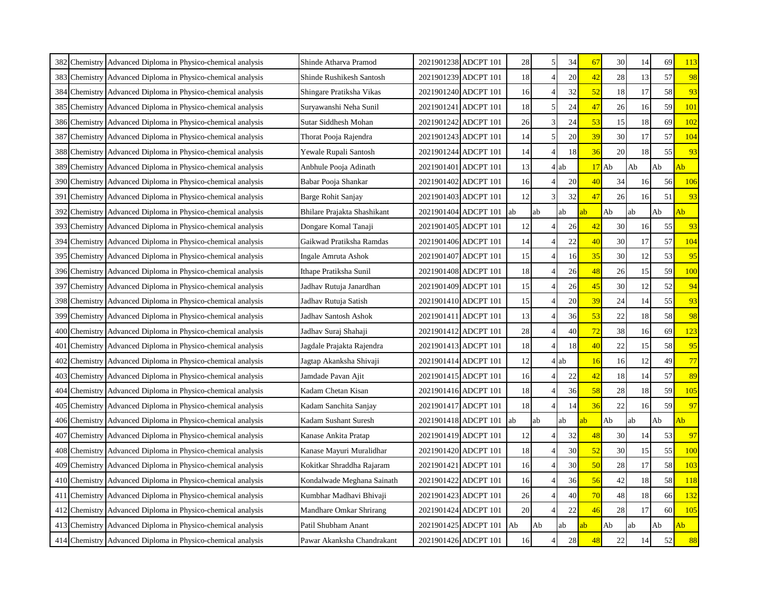| 382 Chemistry Advanced Diploma in Physico-chemical analysis | Shinde Atharva Pramod       |                      | 2021901238 ADCPT 101 | 28 | 5                        | 34 | 67 | 30 | 14 | 69 |            |
|-------------------------------------------------------------|-----------------------------|----------------------|----------------------|----|--------------------------|----|----|----|----|----|------------|
| 383 Chemistry Advanced Diploma in Physico-chemical analysis | Shinde Rushikesh Santosh    | 2021901239 ADCPT 101 |                      | 18 | $\overline{4}$           | 20 | 42 | 28 | 13 | 57 | 98         |
| 384 Chemistry Advanced Diploma in Physico-chemical analysis | Shingare Pratiksha Vikas    | 2021901240 ADCPT 101 |                      | 16 | $\Delta$                 | 32 | 52 | 18 | 17 | 58 | 93         |
| 385 Chemistry Advanced Diploma in Physico-chemical analysis | Suryawanshi Neha Sunil      | 2021901241 ADCPT 101 |                      | 18 |                          | 24 | 47 | 26 | 16 | 59 | 101        |
| 386 Chemistry Advanced Diploma in Physico-chemical analysis | Sutar Siddhesh Mohan        | 2021901242 ADCPT 101 |                      | 26 | 3                        | 24 | 53 | 15 | 18 | 69 | 102        |
| 387 Chemistry Advanced Diploma in Physico-chemical analysis | Thorat Pooja Rajendra       | 2021901243 ADCPT 101 |                      | 14 | 5                        | 20 | 39 | 30 | 17 | 57 | 104        |
| 388 Chemistry Advanced Diploma in Physico-chemical analysis | Yewale Rupali Santosh       | 2021901244 ADCPT 101 |                      | 14 | $\overline{4}$           | 18 | 36 | 20 | 18 | 55 | 93         |
| 389 Chemistry Advanced Diploma in Physico-chemical analysis | Anbhule Pooja Adinath       | 2021901401 ADCPT 101 |                      | 13 | $\overline{4}$           | ab | 17 | Ab | Ab | Ab | Ab         |
| 390 Chemistry Advanced Diploma in Physico-chemical analysis | Babar Pooja Shankar         |                      | 2021901402 ADCPT 101 | 16 | $\Delta$                 | 20 | 40 | 34 | 16 | 56 | 106        |
| 391 Chemistry Advanced Diploma in Physico-chemical analysis | Barge Rohit Sanjay          | 2021901403 ADCPT 101 |                      | 12 | 3                        | 32 | 47 | 26 | 16 | 51 | 93         |
| 392 Chemistry Advanced Diploma in Physico-chemical analysis | Bhilare Prajakta Shashikant |                      | 2021901404 ADCPT 101 | ab | ab                       | ab | ab | Ab | ab | Ab | Ab         |
| 393 Chemistry Advanced Diploma in Physico-chemical analysis | Dongare Komal Tanaji        | 2021901405 ADCPT 101 |                      | 12 |                          | 26 | 42 | 30 | 16 | 55 | 93         |
| 394 Chemistry Advanced Diploma in Physico-chemical analysis | Gaikwad Pratiksha Ramdas    | 2021901406 ADCPT 101 |                      | 14 |                          | 22 | 40 | 30 | 17 | 57 | 104        |
| 395 Chemistry Advanced Diploma in Physico-chemical analysis | Ingale Amruta Ashok         | 2021901407 ADCPT 101 |                      | 15 | $\overline{4}$           | 16 | 35 | 30 | 12 | 53 | 95         |
| 396 Chemistry Advanced Diploma in Physico-chemical analysis | Ithape Pratiksha Sunil      | 2021901408 ADCPT 101 |                      | 18 | $\Delta$                 | 26 | 48 | 26 | 15 | 59 | <b>100</b> |
| 397 Chemistry Advanced Diploma in Physico-chemical analysis | Jadhav Rutuja Janardhan     | 2021901409 ADCPT 101 |                      | 15 | $\overline{4}$           | 26 | 45 | 30 | 12 | 52 | 94         |
| 398 Chemistry Advanced Diploma in Physico-chemical analysis | Jadhav Rutuja Satish        | 2021901410 ADCPT 101 |                      | 15 | $\overline{4}$           | 20 | 39 | 24 | 14 | 55 | 93         |
| 399 Chemistry Advanced Diploma in Physico-chemical analysis | Jadhav Santosh Ashok        |                      | 2021901411 ADCPT 101 | 13 | $\overline{4}$           | 36 | 53 | 22 | 18 | 58 | 98         |
| 400 Chemistry Advanced Diploma in Physico-chemical analysis | Jadhav Suraj Shahaji        | 2021901412 ADCPT 101 |                      | 28 | $\overline{4}$           | 40 | 72 | 38 | 16 | 69 | 123        |
| 401 Chemistry Advanced Diploma in Physico-chemical analysis | Jagdale Prajakta Rajendra   | 2021901413 ADCPT 101 |                      | 18 | $\overline{4}$           | 18 | 40 | 22 | 15 | 58 | 95         |
| 402 Chemistry Advanced Diploma in Physico-chemical analysis | Jagtap Akanksha Shivaji     | 2021901414 ADCPT 101 |                      | 12 | $\overline{4}$           | ab | 16 | 16 | 12 | 49 | 77         |
| 403 Chemistry Advanced Diploma in Physico-chemical analysis | Jamdade Pavan Ajit          | 2021901415 ADCPT 101 |                      | 16 |                          | 22 | 42 | 18 | 14 | 57 | 89         |
| 404 Chemistry Advanced Diploma in Physico-chemical analysis | Kadam Chetan Kisan          | 2021901416 ADCPT 101 |                      | 18 | $\overline{4}$           | 36 | 58 | 28 | 18 | 59 | 105        |
| 405 Chemistry Advanced Diploma in Physico-chemical analysis | Kadam Sanchita Sanjay       | 2021901417 ADCPT 101 |                      | 18 | $\overline{4}$           | 14 | 36 | 22 | 16 | 59 | 97         |
| 406 Chemistry Advanced Diploma in Physico-chemical analysis | Kadam Sushant Suresh        |                      | 2021901418 ADCPT 101 | ab | ab                       | ab | ab | Ab | ab | Ab | Ab         |
| 407 Chemistry Advanced Diploma in Physico-chemical analysis | Kanase Ankita Pratap        | 2021901419 ADCPT 101 |                      | 12 |                          | 32 | 48 | 30 | 14 | 53 | 97         |
| 408 Chemistry Advanced Diploma in Physico-chemical analysis | Kanase Mayuri Muralidhar    |                      | 2021901420 ADCPT 101 | 18 | $\overline{4}$           | 30 | 52 | 30 | 15 | 55 | <b>100</b> |
| 409 Chemistry Advanced Diploma in Physico-chemical analysis | Kokitkar Shraddha Rajaram   | 2021901421 ADCPT 101 |                      | 16 | $\overline{\mathcal{A}}$ | 30 | 50 | 28 | 17 | 58 | 103        |
| 410 Chemistry Advanced Diploma in Physico-chemical analysis | Kondalwade Meghana Sainath  | 2021901422 ADCPT 101 |                      | 16 | $\overline{4}$           | 36 | 56 | 42 | 18 | 58 | 118        |
| 411 Chemistry Advanced Diploma in Physico-chemical analysis | Kumbhar Madhavi Bhivaji     | 2021901423 ADCPT 101 |                      | 26 | $\overline{4}$           | 40 | 70 | 48 | 18 | 66 | 132        |
| 412 Chemistry Advanced Diploma in Physico-chemical analysis | Mandhare Omkar Shrirang     |                      | 2021901424 ADCPT 101 | 20 | $\overline{4}$           | 22 | 46 | 28 | 17 | 60 | 105        |
| 413 Chemistry Advanced Diploma in Physico-chemical analysis | Patil Shubham Anant         | 2021901425 ADCPT 101 |                      | Ab | Ab                       | ab | ab | Ab | ab | Ab | Ab         |
| 414 Chemistry Advanced Diploma in Physico-chemical analysis | Pawar Akanksha Chandrakant  | 2021901426 ADCPT 101 |                      | 16 |                          | 28 | 48 | 22 | 14 | 52 | 88         |